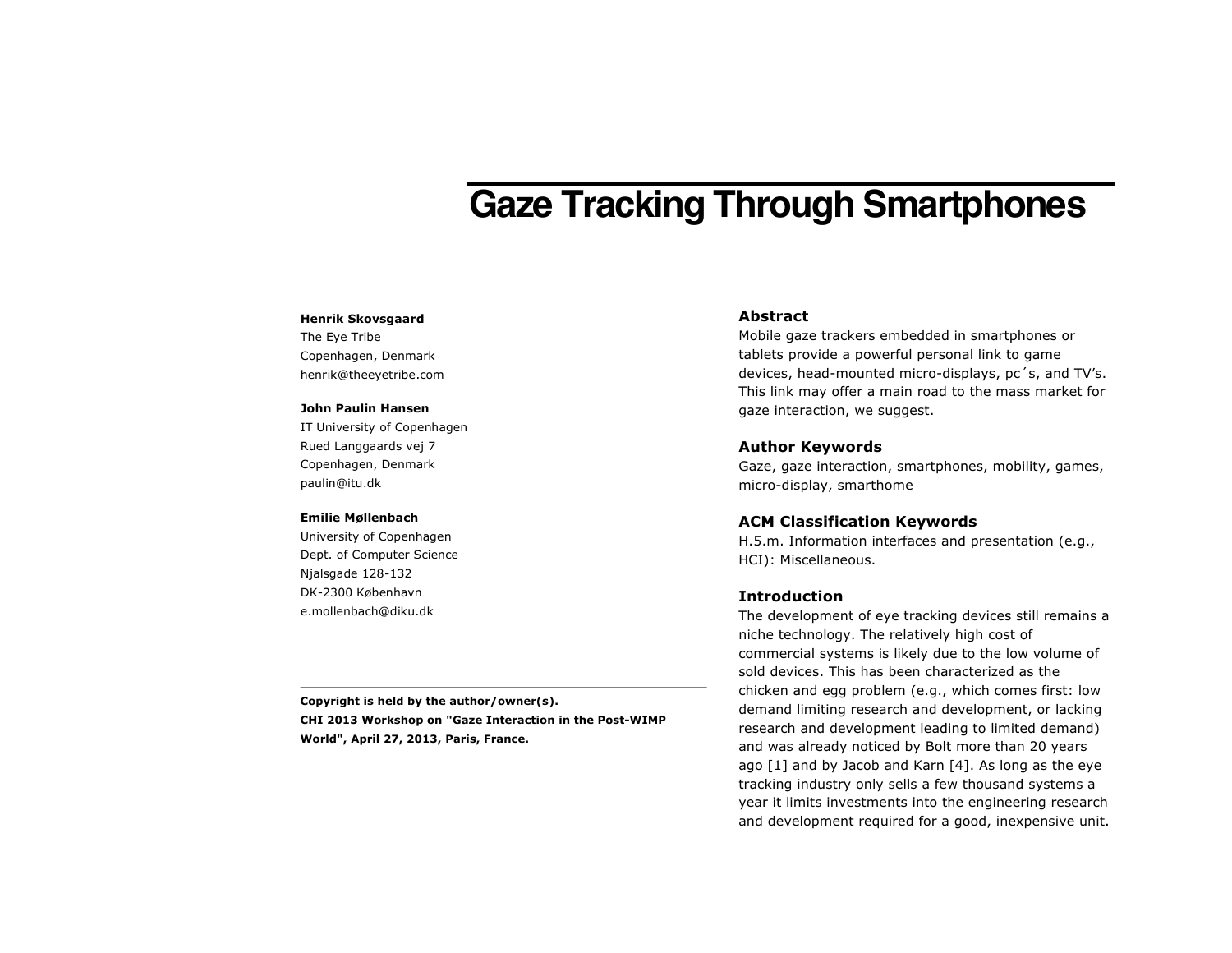# **Gaze Tracking Through Smartphones**

#### **Henrik Skovsgaard**

The Eye Tribe Copenhagen, Denmark henrik@theeyetribe.com

#### **John Paulin Hansen**

IT University of Copenhagen Rued Langgaards vej 7 Copenhagen, Denmark paulin@itu.dk

#### **Emilie Møllenbach**

University of Copenhagen Dept. of Computer Science Njalsgade 128-132 DK-2300 København e.mollenbach@diku.dk

**Copyright is held by the author/owner(s). CHI 2013 Workshop on "Gaze Interaction in the Post-WIMP World", April 27, 2013, Paris, France.**

# **Abstract**

Mobile gaze trackers embedded in smartphones or tablets provide a powerful personal link to game devices, head-mounted micro-displays, pc´s, and TV's. This link may offer a main road to the mass market for gaze interaction, we suggest.

#### **Author Keywords**

Gaze, gaze interaction, smartphones, mobility, games, micro-display, smarthome

### **ACM Classification Keywords**

H.5.m. Information interfaces and presentation (e.g., HCI): Miscellaneous.

## **Introduction**

The development of eye tracking devices still remains a niche technology. The relatively high cost of commercial systems is likely due to the low volume of sold devices. This has been characterized as the chicken and egg problem (e.g., which comes first: low demand limiting research and development, or lacking research and development leading to limited demand) and was already noticed by Bolt more than 20 years ago [1] and by Jacob and Karn [4]. As long as the eye tracking industry only sells a few thousand systems a year it limits investments into the engineering research and development required for a good, inexpensive unit.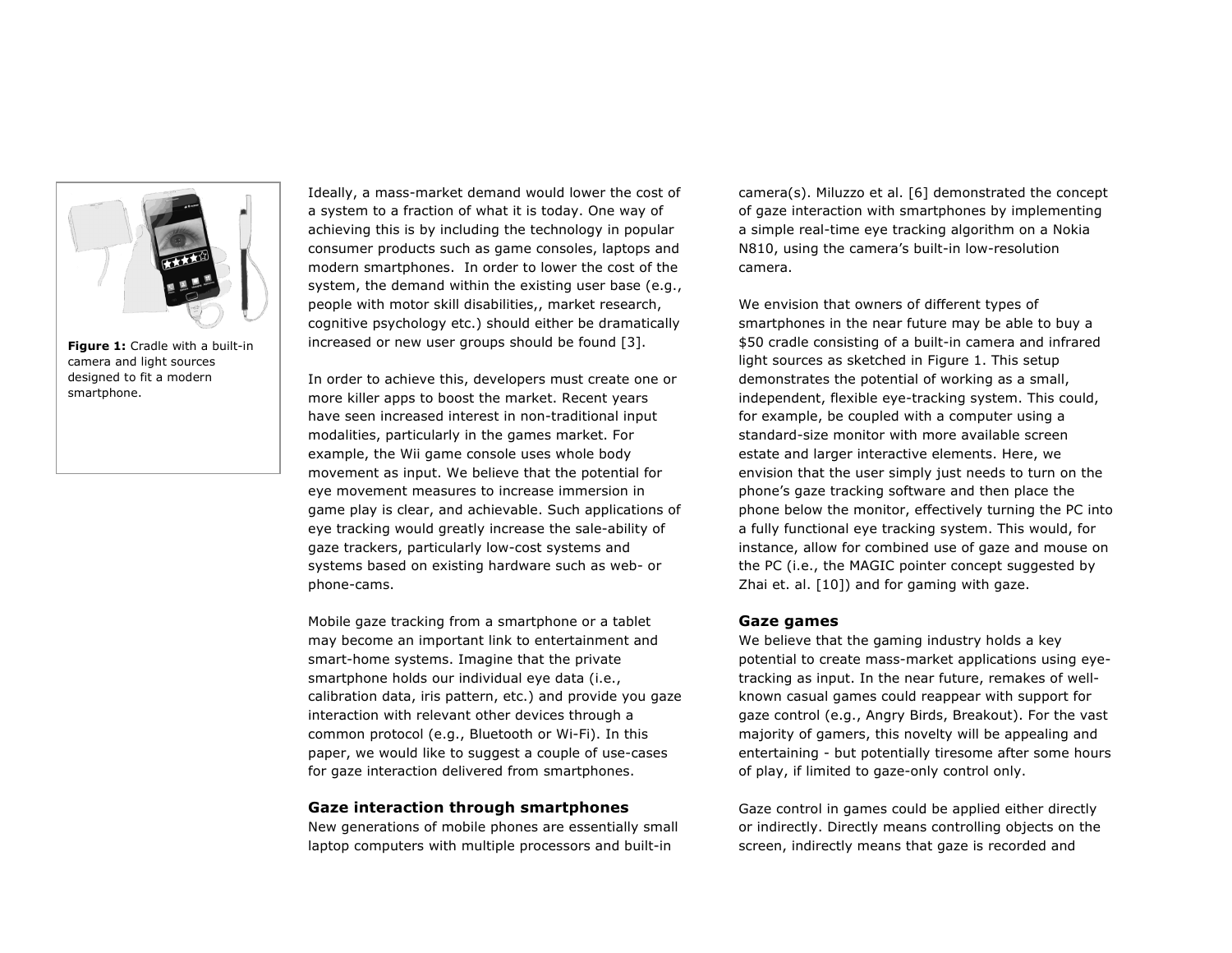

**Figure 1:** Cradle with a built-in camera and light sources designed to fit a modern smartphone.

Ideally, a mass-market demand would lower the cost of a system to a fraction of what it is today. One way of achieving this is by including the technology in popular consumer products such as game consoles, laptops and modern smartphones. In order to lower the cost of the system, the demand within the existing user base (e.g., people with motor skill disabilities,, market research, cognitive psychology etc.) should either be dramatically increased or new user groups should be found [3].

In order to achieve this, developers must create one or more killer apps to boost the market. Recent years have seen increased interest in non-traditional input modalities, particularly in the games market. For example, the Wii game console uses whole body movement as input. We believe that the potential for eye movement measures to increase immersion in game play is clear, and achievable. Such applications of eye tracking would greatly increase the sale-ability of gaze trackers, particularly low-cost systems and systems based on existing hardware such as web- or phone-cams.

Mobile gaze tracking from a smartphone or a tablet may become an important link to entertainment and smart-home systems. Imagine that the private smartphone holds our individual eye data (i.e., calibration data, iris pattern, etc.) and provide you gaze interaction with relevant other devices through a common protocol (e.g., Bluetooth or Wi-Fi). In this paper, we would like to suggest a couple of use-cases for gaze interaction delivered from smartphones.

#### **Gaze interaction through smartphones**

New generations of mobile phones are essentially small laptop computers with multiple processors and built-in

camera(s). Miluzzo et al. [6] demonstrated the concept of gaze interaction with smartphones by implementing a simple real-time eye tracking algorithm on a Nokia N810, using the camera's built-in low-resolution camera.

We envision that owners of different types of smartphones in the near future may be able to buy a \$50 cradle consisting of a built-in camera and infrared light sources as sketched in Figure 1. This setup demonstrates the potential of working as a small, independent, flexible eye-tracking system. This could, for example, be coupled with a computer using a standard-size monitor with more available screen estate and larger interactive elements. Here, we envision that the user simply just needs to turn on the phone's gaze tracking software and then place the phone below the monitor, effectively turning the PC into a fully functional eye tracking system. This would, for instance, allow for combined use of gaze and mouse on the PC (i.e., the MAGIC pointer concept suggested by Zhai et. al. [10]) and for gaming with gaze.

## **Gaze games**

We believe that the gaming industry holds a key potential to create mass-market applications using eyetracking as input. In the near future, remakes of wellknown casual games could reappear with support for gaze control (e.g., Angry Birds, Breakout). For the vast majority of gamers, this novelty will be appealing and entertaining - but potentially tiresome after some hours of play, if limited to gaze-only control only.

Gaze control in games could be applied either directly or indirectly. Directly means controlling objects on the screen, indirectly means that gaze is recorded and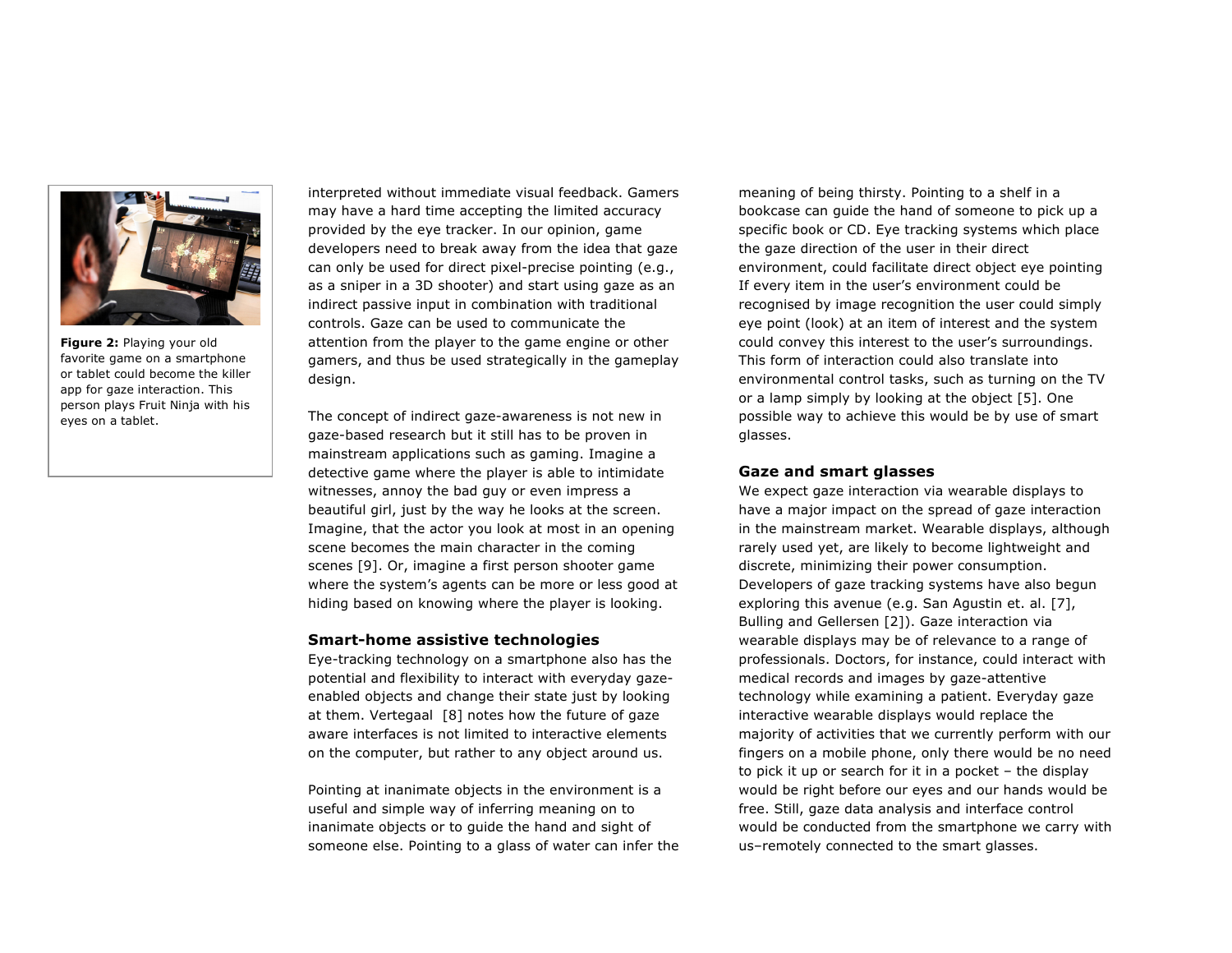

**Figure 2:** Playing your old favorite game on a smartphone or tablet could become the killer app for gaze interaction. This person plays Fruit Ninja with his eyes on a tablet.

interpreted without immediate visual feedback. Gamers may have a hard time accepting the limited accuracy provided by the eye tracker. In our opinion, game developers need to break away from the idea that gaze can only be used for direct pixel-precise pointing (e.g., as a sniper in a 3D shooter) and start using gaze as an indirect passive input in combination with traditional controls. Gaze can be used to communicate the attention from the player to the game engine or other gamers, and thus be used strategically in the gameplay design.

The concept of indirect gaze-awareness is not new in gaze-based research but it still has to be proven in mainstream applications such as gaming. Imagine a detective game where the player is able to intimidate witnesses, annoy the bad guy or even impress a beautiful girl, just by the way he looks at the screen. Imagine, that the actor you look at most in an opening scene becomes the main character in the coming scenes [9]. Or, imagine a first person shooter game where the system's agents can be more or less good at hiding based on knowing where the player is looking.

#### **Smart-home assistive technologies**

Eye-tracking technology on a smartphone also has the potential and flexibility to interact with everyday gazeenabled objects and change their state just by looking at them. Vertegaal [8] notes how the future of gaze aware interfaces is not limited to interactive elements on the computer, but rather to any object around us.

Pointing at inanimate objects in the environment is a useful and simple way of inferring meaning on to inanimate objects or to guide the hand and sight of someone else. Pointing to a glass of water can infer the

meaning of being thirsty. Pointing to a shelf in a bookcase can guide the hand of someone to pick up a specific book or CD. Eye tracking systems which place the gaze direction of the user in their direct environment, could facilitate direct object eye pointing If every item in the user's environment could be recognised by image recognition the user could simply eye point (look) at an item of interest and the system could convey this interest to the user's surroundings. This form of interaction could also translate into environmental control tasks, such as turning on the TV or a lamp simply by looking at the object [5]. One possible way to achieve this would be by use of smart glasses.

## **Gaze and smart glasses**

We expect gaze interaction via wearable displays to have a major impact on the spread of gaze interaction in the mainstream market. Wearable displays, although rarely used yet, are likely to become lightweight and discrete, minimizing their power consumption. Developers of gaze tracking systems have also begun exploring this avenue (e.g. San Agustin et. al. [7], Bulling and Gellersen [2]). Gaze interaction via wearable displays may be of relevance to a range of professionals. Doctors, for instance, could interact with medical records and images by gaze-attentive technology while examining a patient. Everyday gaze interactive wearable displays would replace the majority of activities that we currently perform with our fingers on a mobile phone, only there would be no need to pick it up or search for it in a pocket – the display would be right before our eyes and our hands would be free. Still, gaze data analysis and interface control would be conducted from the smartphone we carry with us–remotely connected to the smart glasses.